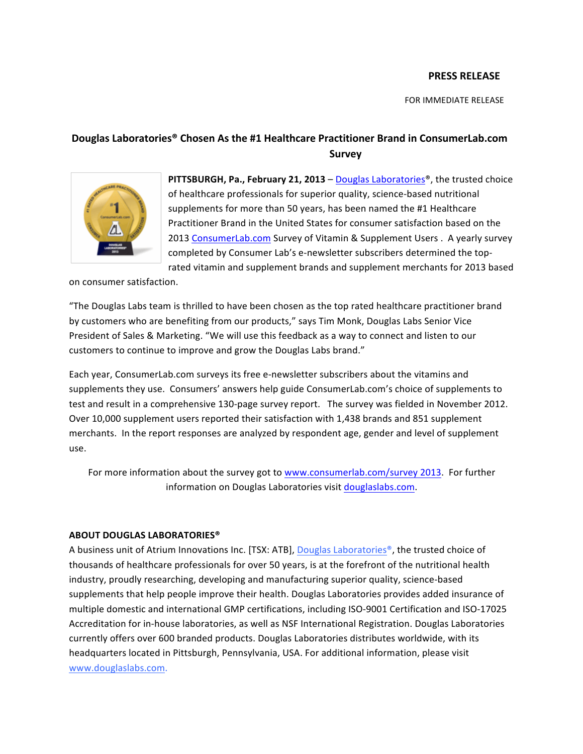## **PRESS RELEASE**

FOR IMMEDIATE RELEASE

## Douglas Laboratories<sup>®</sup> Chosen As the #1 Healthcare Practitioner Brand in ConsumerLab.com **Survey**



**PITTSBURGH, Pa., February 21, 2013** – Douglas Laboratories<sup>®</sup>, the trusted choice of healthcare professionals for superior quality, science-based nutritional supplements for more than 50 years, has been named the #1 Healthcare Practitioner Brand in the United States for consumer satisfaction based on the 2013 ConsumerLab.com Survey of Vitamin & Supplement Users . A yearly survey completed by Consumer Lab's e-newsletter subscribers determined the toprated vitamin and supplement brands and supplement merchants for 2013 based

on consumer satisfaction.

"The Douglas Labs team is thrilled to have been chosen as the top rated healthcare practitioner brand by customers who are benefiting from our products," says Tim Monk, Douglas Labs Senior Vice President of Sales & Marketing. "We will use this feedback as a way to connect and listen to our customers to continue to improve and grow the Douglas Labs brand."

Each year, ConsumerLab.com surveys its free e-newsletter subscribers about the vitamins and supplements they use. Consumers' answers help guide ConsumerLab.com's choice of supplements to test and result in a comprehensive 130-page survey report. The survey was fielded in November 2012. Over 10,000 supplement users reported their satisfaction with 1,438 brands and 851 supplement merchants. In the report responses are analyzed by respondent age, gender and level of supplement use. 

For more information about the survey got to www.consumerlab.com/survey 2013. For further information on Douglas Laboratories visit douglaslabs.com.

## **ABOUT DOUGLAS LABORATORIES®**

A business unit of Atrium Innovations Inc. [TSX: ATB], Douglas Laboratories<sup>®</sup>, the trusted choice of thousands of healthcare professionals for over 50 years, is at the forefront of the nutritional health industry, proudly researching, developing and manufacturing superior quality, science-based supplements that help people improve their health. Douglas Laboratories provides added insurance of multiple domestic and international GMP certifications, including ISO-9001 Certification and ISO-17025 Accreditation for in-house laboratories, as well as NSF International Registration. Douglas Laboratories currently offers over 600 branded products. Douglas Laboratories distributes worldwide, with its headquarters located in Pittsburgh, Pennsylvania, USA. For additional information, please visit www.douglaslabs.com.